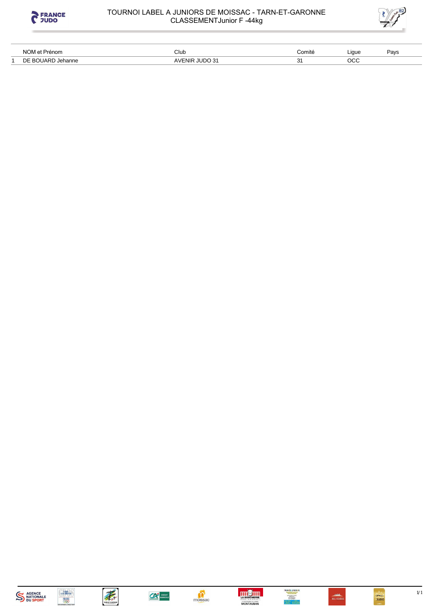



| NOM et Prénom                    | Club                | ∶omitė            | Liaue    | Pavs |
|----------------------------------|---------------------|-------------------|----------|------|
| $\blacksquare$<br>Jehanne<br>' ب | $II$ IDO 31<br>ווח= | ົ<br>ັັ<br>$\sim$ | OCC<br>. |      |















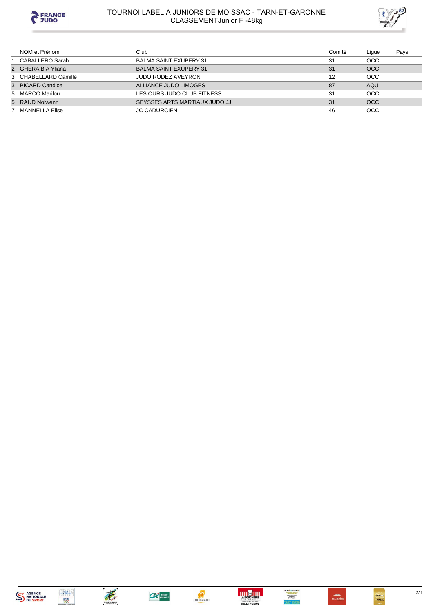

# TOURNOI LABEL A JUNIORS DE MOISSAC - TARN-ET-GARONNE<br>CLASSEMENTJunior F -48kg



| NOM et Prénom        | Club                          | Comité | Lique      | Pays |
|----------------------|-------------------------------|--------|------------|------|
| 1 CABALLERO Sarah    | <b>BALMA SAINT EXUPERY 31</b> | 31     | <b>OCC</b> |      |
| 2 GHERAIBIA Yliana   | <b>BALMA SAINT EXUPERY 31</b> | 31     | <b>OCC</b> |      |
| 3 CHABELLARD Camille | JUDO RODEZ AVEYRON            | 12     | OCC        |      |
| 3 PICARD Candice     | ALLIANCE JUDO LIMOGES         | 87     | <b>AQU</b> |      |
| 5 MARCO Marilou      | LES OURS JUDO CLUB FITNESS    | 31     | <b>OCC</b> |      |
| 5 RAUD Nolwenn       | SEYSSES ARTS MARTIAUX JUDO JJ | 31     | <b>OCC</b> |      |
| MANNELLA Elise       | <b>JC CADURCIEN</b>           | 46     | <b>OCC</b> |      |

















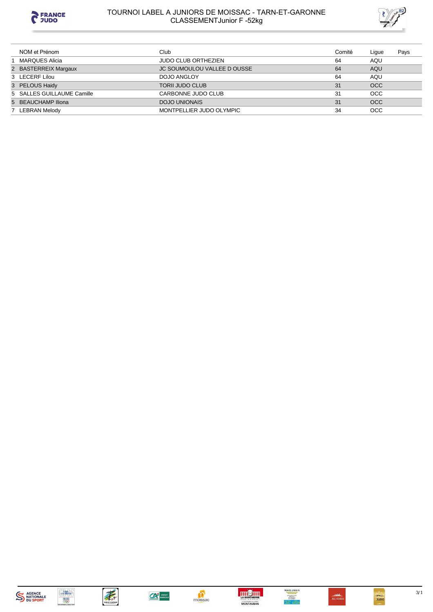

# TOURNOI LABEL A JUNIORS DE MOISSAC - TARN-ET-GARONNE<br>CLASSEMENTJunior F -52kg



| NOM et Prénom              | Club                               | Comité | Lique      | Pays |
|----------------------------|------------------------------------|--------|------------|------|
| MARQUES Alicia             | <b>JUDO CLUB ORTHEZIEN</b>         | 64     | AQU        |      |
| 2 BASTERREIX Margaux       | <b>JC SOUMOULOU VALLEE D OUSSE</b> | 64     | AQU        |      |
| 3 LECERF Lilou             | DOJO ANGLOY                        | 64     | AQU        |      |
| 3 PELOUS Haidy             | <b>TORII JUDO CLUB</b>             | 31     | <b>OCC</b> |      |
| 5 SALLES GUILLAUME Camille | CARBONNE JUDO CLUB                 | 31     | <b>OCC</b> |      |
| 5 BEAUCHAMP Iliona         | DOJO UNIONAIS                      | 31     | <b>OCC</b> |      |
| 7 LEBRAN Melody            | MONTPELLIER JUDO OLYMPIC           | 34     | <b>OCC</b> |      |















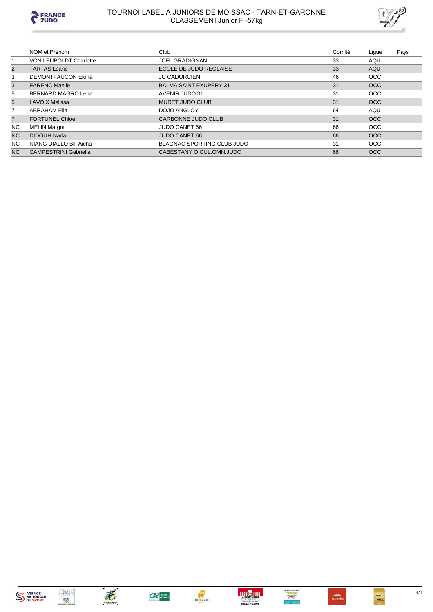

# TOURNOI LABEL A JUNIORS DE MOISSAC - TARN-ET-GARONNE<br>CLASSEMENTJunior F -57kg



|                | NOM et Prénom                | Club                              | Comité | Ligue      | Pays |
|----------------|------------------------------|-----------------------------------|--------|------------|------|
|                | VON LEUPOLDT Charlotte       | <b>JCFL GRADIGNAN</b>             | 33     | AQU        |      |
| $\overline{2}$ | <b>TARTAS Loane</b>          | ECOLE DE JUDO REOLAISE            | 33     | AQU        |      |
| 3              | <b>DEMONTFAUCON Elona</b>    | <b>JC CADURCIEN</b>               | 46     | <b>OCC</b> |      |
| 3              | <b>FARENC Maelle</b>         | <b>BALMA SAINT EXUPERY 31</b>     | 31     | <b>OCC</b> |      |
| 5              | <b>BERNARD MAGRO Lena</b>    | AVENIR JUDO 31                    | 31     | <b>OCC</b> |      |
| 5              | <b>LAVOIX Melissa</b>        | MURET JUDO CLUB                   | 31     | <b>OCC</b> |      |
| 7              | <b>ABRAHAM Elia</b>          | DOJO ANGLOY                       | 64     | AQU        |      |
| $\overline{7}$ | <b>FORTUNEL Chloe</b>        | CARBONNE JUDO CLUB                | 31     | <b>OCC</b> |      |
| NC.            | <b>MELIN Margot</b>          | <b>JUDO CANET 66</b>              | 66     | <b>OCC</b> |      |
| N <sub>C</sub> | <b>DIDOUH Nada</b>           | <b>JUDO CANET 66</b>              | 66     | <b>OCC</b> |      |
| NC.            | NIANG DIALLO Bill Aicha      | <b>BLAGNAC SPORTING CLUB JUDO</b> | 31     | <b>OCC</b> |      |
| N <sub>C</sub> | <b>CAMPESTRINI Gabriella</b> | CABESTANY O.CUL.OMN.JUDO          | 66     | <b>OCC</b> |      |















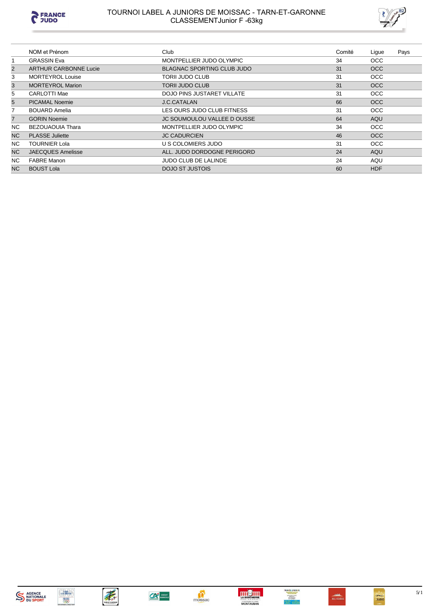

# TOURNOI LABEL A JUNIORS DE MOISSAC - TARN-ET-GARONNE<br>CLASSEMENTJunior F -63kg



|                | NOM et Prénom                | Club                               | Comité | Lique      | Pays |
|----------------|------------------------------|------------------------------------|--------|------------|------|
|                | <b>GRASSIN Eva</b>           | MONTPELLIER JUDO OLYMPIC           | 34     | <b>OCC</b> |      |
| $\overline{2}$ | <b>ARTHUR CARBONNE Lucie</b> | <b>BLAGNAC SPORTING CLUB JUDO</b>  | 31     | <b>OCC</b> |      |
| 3              | <b>MORTEYROL Louise</b>      | TORII JUDO CLUB                    | 31     | <b>OCC</b> |      |
| 3              | <b>MORTEYROL Marion</b>      | TORII JUDO CLUB                    | 31     | <b>OCC</b> |      |
| 5              | CARLOTTI Mae                 | DOJO PINS JUSTARET VILLATE         | 31     | <b>OCC</b> |      |
| 5              | <b>PICAMAL Noemie</b>        | <b>J.C.CATALAN</b>                 | 66     | <b>OCC</b> |      |
| 7              | <b>BOUARD Amelia</b>         | LES OURS JUDO CLUB FITNESS         | 31     | <b>OCC</b> |      |
| $\overline{7}$ | <b>GORIN Noemie</b>          | <b>JC SOUMOULOU VALLEE D OUSSE</b> | 64     | AQU        |      |
| NC.            | <b>BEZOUAOUIA Thara</b>      | MONTPELLIER JUDO OLYMPIC           | 34     | <b>OCC</b> |      |
| <b>NC</b>      | <b>PLASSE</b> Juliette       | <b>JC CADURCIEN</b>                | 46     | <b>OCC</b> |      |
| NC.            | <b>TOURNIER Lola</b>         | U S COLOMIERS JUDO                 | 31     | OCC.       |      |
| <b>NC</b>      | <b>JAECQUES Amelisse</b>     | ALL. JUDO DORDOGNE PERIGORD        | 24     | AQU        |      |
| NC.            | <b>FABRE Manon</b>           | <b>JUDO CLUB DE LALINDE</b>        | 24     | AQU        |      |
| N <sub>C</sub> | <b>BOUST Lola</b>            | DOJO ST JUSTOIS                    | 60     | <b>HDF</b> |      |











CA CREDIT







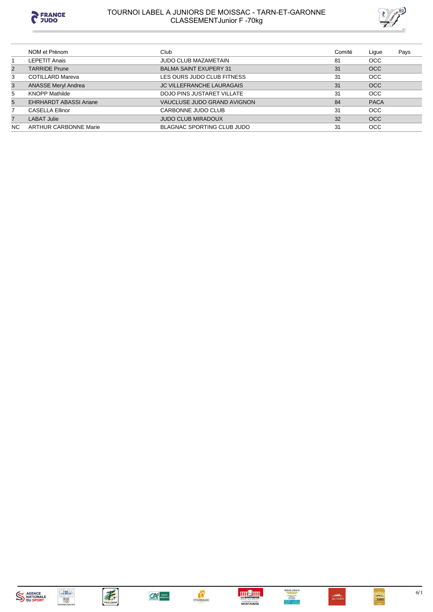

# TOURNOI LABEL A JUNIORS DE MOISSAC - TARN-ET-GARONNE<br>CLASSEMENTJunior F -70kg



| NOM et Prénom                 | Club                              | Comité | Ligue       | Pays |
|-------------------------------|-----------------------------------|--------|-------------|------|
| <b>LEPETIT Anais</b>          | JUDO CLUB MAZAMETAIN              | 81     | <b>OCC</b>  |      |
| <b>TARRIDE Prune</b>          | <b>BALMA SAINT EXUPERY 31</b>     | 31     | <b>OCC</b>  |      |
| <b>COTILLARD Mareva</b>       | LES OURS JUDO CLUB FITNESS        | 31     | <b>OCC</b>  |      |
| <b>ANASSE Meryl Andrea</b>    | <b>JC VILLEFRANCHE LAURAGAIS</b>  | 31     | <b>OCC</b>  |      |
| <b>KNOPP Mathilde</b>         | DOJO PINS JUSTARET VILLATE        | 31     | <b>OCC</b>  |      |
| <b>EHRHARDT ABASSI Ariane</b> | VAUCLUSE JUDO GRAND AVIGNON       | 84     | <b>PACA</b> |      |
| <b>CASELLA Ellinor</b>        | CARBONNE JUDO CLUB                | 31     | <b>OCC</b>  |      |
| <b>LABAT Julie</b>            | <b>JUDO CLUB MIRADOUX</b>         | 32     | <b>OCC</b>  |      |
| <b>ARTHUR CARBONNE Marie</b>  | <b>BLAGNAC SPORTING CLUB JUDO</b> | 31     | <b>OCC</b>  |      |
|                               |                                   |        |             |      |









 $\sum_{\text{moissac}}$ 







 $6/1$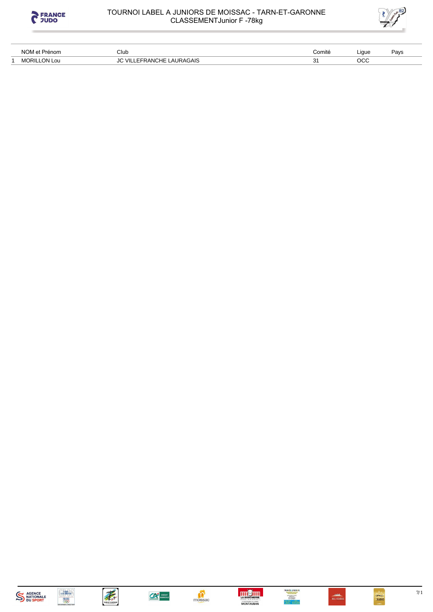

# TOURNOI LABEL A JUNIORS DE MOISSAC - TARN-ET-GARONNE<br>CLASSEMENTJunior F -78kg



| NOM et<br>Prénom         | Club                                 | Comité | Liaue | Pavs |
|--------------------------|--------------------------------------|--------|-------|------|
| LON Lou<br><b>MORILI</b> | LAURAGAIS<br>`HE<br>- VII<br>FFRANG. |        | осс   |      |

















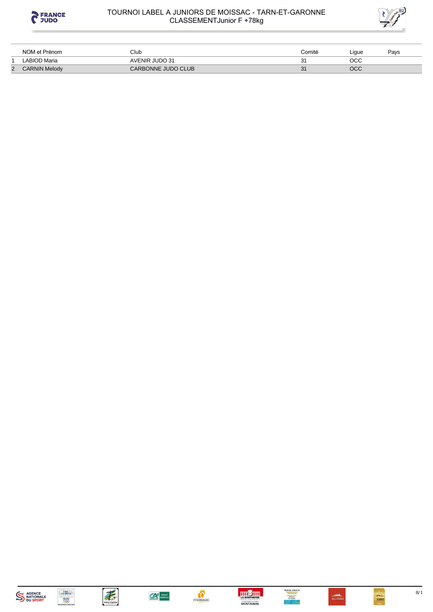

### TOURNOI LABEL A JUNIORS DE MOISSAC - TARN-ET-GARONNE CLASSEMENTJunior F +78kg



|                | NOM et Prénom        | Club               | Comité | ∟ique | Pavs |
|----------------|----------------------|--------------------|--------|-------|------|
|                | LABIOD Maria         | AVENIR JUDO 31     |        | осс   |      |
| $\overline{2}$ | <b>CARNIN Melody</b> | CARBONNE JUDO CLUB |        | OCC   |      |

















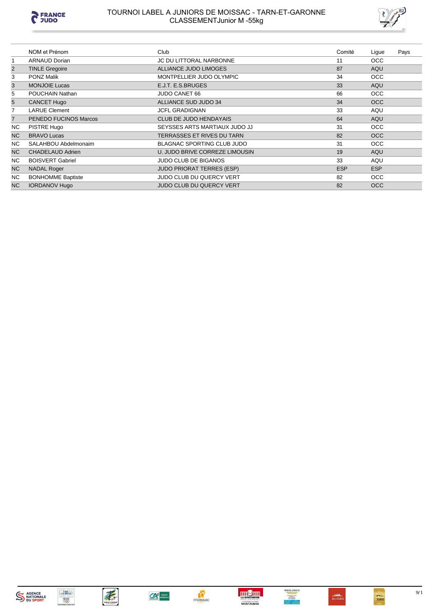

#### TOURNOI LABEL A JUNIORS DE MOISSAC - TARN-ET-GARONNE CLASSEMENTJunior M -55kg



|                | NOM et Prénom            | Club                             | Comité     | Ligue      | Pays |
|----------------|--------------------------|----------------------------------|------------|------------|------|
| 1              | <b>ARNAUD Dorian</b>     | <b>JC DU LITTORAL NARBONNE</b>   | 11         | <b>OCC</b> |      |
| $\overline{2}$ | <b>TINLE Gregoire</b>    | ALLIANCE JUDO LIMOGES            | 87         | AQU        |      |
| 3              | <b>PONZ Malik</b>        | MONTPELLIER JUDO OLYMPIC         | 34         | <b>OCC</b> |      |
| 3              | <b>MONJOIE Lucas</b>     | E.J.T. E.S.BRUGES                | 33         | <b>AQU</b> |      |
| 5              | POUCHAIN Nathan          | JUDO CANET 66                    | 66         | <b>OCC</b> |      |
| 5              | <b>CANCET Hugo</b>       | ALLIANCE SUD JUDO 34             | 34         | <b>OCC</b> |      |
| 7              | <b>LARUE Clement</b>     | <b>JCFL GRADIGNAN</b>            | 33         | AQU        |      |
| $\overline{7}$ | PENEDO FUCINOS Marcos    | <b>CLUB DE JUDO HENDAYAIS</b>    | 64         | AQU        |      |
| NC.            | PISTRE Hugo              | SEYSSES ARTS MARTIAUX JUDO JJ    | 31         | <b>OCC</b> |      |
| <b>NC</b>      | <b>BRAVO Lucas</b>       | TERRASSES ET RIVES DU TARN       | 82         | <b>OCC</b> |      |
| NC.            | SALAHBOU Abdelmonaim     | BLAGNAC SPORTING CLUB JUDO       | 31         | <b>OCC</b> |      |
| <b>NC</b>      | <b>CHADELAUD Adrien</b>  | U. JUDO BRIVE CORREZE LIMOUSIN   | 19         | <b>AQU</b> |      |
| NC.            | <b>BOISVERT Gabriel</b>  | <b>JUDO CLUB DE BIGANOS</b>      | 33         | AQU        |      |
| <b>NC</b>      | <b>NADAL Roger</b>       | <b>JUDO PRIORAT TERRES (ESP)</b> | <b>ESP</b> | <b>ESP</b> |      |
| NC.            | <b>BONHOMME Baptiste</b> | JUDO CLUB DU QUERCY VERT         | 82         | OCC        |      |
| NC.            | <b>IORDANOV Hugo</b>     | JUDO CLUB DU QUERCY VERT         | 82         | <b>OCC</b> |      |















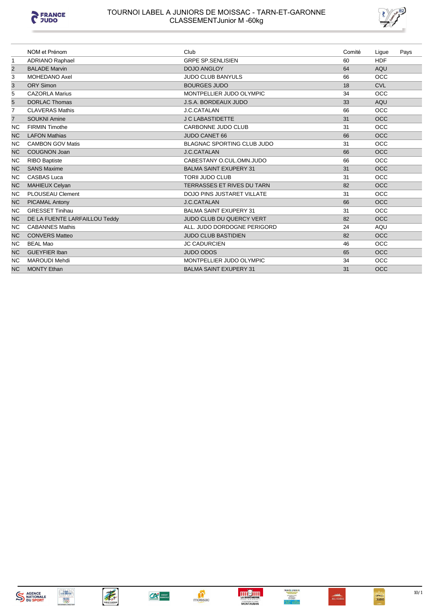

# TOURNOI LABEL A JUNIORS DE MOISSAC - TARN-ET-GARONNE<br>CLASSEMENTJunior M -60kg



|                | NOM et Prénom                 | Club                              | Comité | Ligue      | Pays |
|----------------|-------------------------------|-----------------------------------|--------|------------|------|
| $\mathbf{1}$   | <b>ADRIANO Raphael</b>        | <b>GRPE SP.SENLISIEN</b>          | 60     | <b>HDF</b> |      |
| $\overline{2}$ | <b>BALADE Marvin</b>          | <b>DOJO ANGLOY</b>                | 64     | <b>AQU</b> |      |
| 3              | MOHEDANO Axel                 | <b>JUDO CLUB BANYULS</b>          | 66     | <b>OCC</b> |      |
| 3              | <b>ORY Simon</b>              | <b>BOURGES JUDO</b>               | 18     | <b>CVL</b> |      |
| 5              | <b>CAZORLA Marius</b>         | MONTPELLIER JUDO OLYMPIC          | 34     | OCC        |      |
| 5              | <b>DORLAC Thomas</b>          | <b>J.S.A. BORDEAUX JUDO</b>       | 33     | <b>AQU</b> |      |
| 7              | <b>CLAVERAS Mathis</b>        | J.C.CATALAN                       | 66     | <b>OCC</b> |      |
| $\overline{7}$ | <b>SOUKNI Amine</b>           | <b>J C LABASTIDETTE</b>           | 31     | <b>OCC</b> |      |
| <b>NC</b>      | <b>FIRMIN Timothe</b>         | CARBONNE JUDO CLUB                | 31     | <b>OCC</b> |      |
| <b>NC</b>      | <b>LAFON Mathias</b>          | <b>JUDO CANET 66</b>              | 66     | <b>OCC</b> |      |
| <b>NC</b>      | <b>CAMBON GOV Matis</b>       | <b>BLAGNAC SPORTING CLUB JUDO</b> | 31     | <b>OCC</b> |      |
| <b>NC</b>      | <b>COUGNON Joan</b>           | <b>J.C.CATALAN</b>                | 66     | <b>OCC</b> |      |
| <b>NC</b>      | <b>RIBO Baptiste</b>          | CABESTANY O.CUL.OMN.JUDO          | 66     | <b>OCC</b> |      |
| <b>NC</b>      | <b>SANS Maxime</b>            | <b>BALMA SAINT EXUPERY 31</b>     | 31     | <b>OCC</b> |      |
| <b>NC</b>      | <b>CASBAS Luca</b>            | <b>TORII JUDO CLUB</b>            | 31     | <b>OCC</b> |      |
| <b>NC</b>      | <b>MAHIEUX Celyan</b>         | <b>TERRASSES ET RIVES DU TARN</b> | 82     | <b>OCC</b> |      |
| <b>NC</b>      | <b>PLOUSEAU Clement</b>       | <b>DOJO PINS JUSTARET VILLATE</b> | 31     | <b>OCC</b> |      |
| <b>NC</b>      | <b>PICAMAL Antony</b>         | <b>J.C.CATALAN</b>                | 66     | <b>OCC</b> |      |
| <b>NC</b>      | <b>GRESSET Tinihau</b>        | <b>BALMA SAINT EXUPERY 31</b>     | 31     | <b>OCC</b> |      |
| <b>NC</b>      | DE LA FUENTE LARFAILLOU Teddy | <b>JUDO CLUB DU QUERCY VERT</b>   | 82     | <b>OCC</b> |      |
| <b>NC</b>      | <b>CABANNES Mathis</b>        | ALL, JUDO DORDOGNE PERIGORD       | 24     | AQU        |      |
| <b>NC</b>      | <b>CONVERS Matteo</b>         | <b>JUDO CLUB BASTIDIEN</b>        | 82     | <b>OCC</b> |      |
| <b>NC</b>      | <b>BEAL Mao</b>               | <b>JC CADURCIEN</b>               | 46     | OCC        |      |
| <b>NC</b>      | <b>GUEYFIER Iban</b>          | <b>JUDO ODOS</b>                  | 65     | <b>OCC</b> |      |
| <b>NC</b>      | <b>MAROUDI Mehdi</b>          | MONTPELLIER JUDO OLYMPIC          | 34     | OCC        |      |
| <b>NC</b>      | <b>MONTY Ethan</b>            | <b>BALMA SAINT EXUPERY 31</b>     | 31     | <b>OCC</b> |      |







moissac





 $10/1$ 

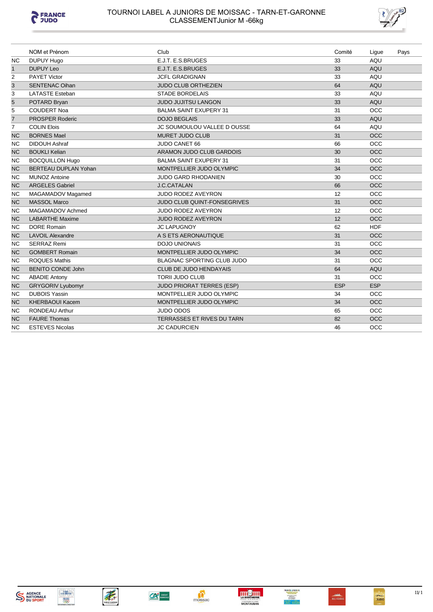



|                | NOM et Prénom            | Club                              | Comité     | Ligue      | Pays |
|----------------|--------------------------|-----------------------------------|------------|------------|------|
| <b>NC</b>      | DUPUY Hugo               | E.J.T. E.S.BRUGES                 | 33         | AQU        |      |
| $\mathbf{1}$   | <b>DUPUY Leo</b>         | E.J.T. E.S.BRUGES                 | 33         | AQU        |      |
| $\overline{2}$ | <b>PAYET Victor</b>      | <b>JCFL GRADIGNAN</b>             | 33         | AQU        |      |
| 3              | <b>SENTENAC Oihan</b>    | JUDO CLUB ORTHEZIEN               | 64         | AQU        |      |
| 3              | <b>LATASTE Esteban</b>   | <b>STADE BORDELAIS</b>            | 33         | AQU        |      |
| $\overline{5}$ | POTARD Bryan             | <b>JUDO JUJITSU LANGON</b>        | 33         | AQU        |      |
| 5              | <b>COUDERT Noa</b>       | <b>BALMA SAINT EXUPERY 31</b>     | 31         | <b>OCC</b> |      |
| $\overline{7}$ | <b>PROSPER Roderic</b>   | <b>DOJO BEGLAIS</b>               | 33         | AQU        |      |
| $\overline{7}$ | <b>COLIN Elois</b>       | JC SOUMOULOU VALLEE D OUSSE       | 64         | AQU        |      |
| <b>NC</b>      | <b>BORNES Mael</b>       | <b>MURET JUDO CLUB</b>            | 31         | <b>OCC</b> |      |
| <b>NC</b>      | <b>DIDOUH Ashraf</b>     | JUDO CANET 66                     | 66         | <b>OCC</b> |      |
| <b>NC</b>      | <b>BOUKLI Kelian</b>     | ARAMON JUDO CLUB GARDOIS          | 30         | <b>OCC</b> |      |
| <b>NC</b>      | <b>BOCQUILLON Hugo</b>   | <b>BALMA SAINT EXUPERY 31</b>     | 31         | <b>OCC</b> |      |
| <b>NC</b>      | BERTEAU DUPLAN Yohan     | MONTPELLIER JUDO OLYMPIC          | 34         | <b>OCC</b> |      |
| <b>NC</b>      | <b>MUNOZ Antoine</b>     | <b>JUDO GARD RHODANIEN</b>        | 30         | <b>OCC</b> |      |
| <b>NC</b>      | <b>ARGELES Gabriel</b>   | <b>J.C.CATALAN</b>                | 66         | <b>OCC</b> |      |
| <b>NC</b>      | MAGAMADOV Magamed        | JUDO RODEZ AVEYRON                | 12         | OCC        |      |
| <b>NC</b>      | <b>MASSOL Marco</b>      | JUDO CLUB QUINT-FONSEGRIVES       | 31         | <b>OCC</b> |      |
| <b>NC</b>      | MAGAMADOV Achmed         | <b>JUDO RODEZ AVEYRON</b>         | 12         | <b>OCC</b> |      |
| <b>NC</b>      | <b>LABARTHE Maxime</b>   | <b>JUDO RODEZ AVEYRON</b>         | 12         | <b>OCC</b> |      |
| <b>NC</b>      | <b>DORE Romain</b>       | <b>JC LAPUGNOY</b>                | 62         | <b>HDF</b> |      |
| <b>NC</b>      | <b>LAVOIL Alexandre</b>  | A S ETS AERONAUTIQUE              | 31         | <b>OCC</b> |      |
| NC.            | <b>SERRAZ Remi</b>       | <b>DOJO UNIONAIS</b>              | 31         | <b>OCC</b> |      |
| <b>NC</b>      | <b>GOMBERT Romain</b>    | MONTPELLIER JUDO OLYMPIC          | 34         | <b>OCC</b> |      |
| <b>NC</b>      | <b>ROQUES Mathis</b>     | <b>BLAGNAC SPORTING CLUB JUDO</b> | 31         | <b>OCC</b> |      |
| <b>NC</b>      | <b>BENITO CONDE John</b> | <b>CLUB DE JUDO HENDAYAIS</b>     | 64         | AQU        |      |
| <b>NC</b>      | <b>ABADIE Antony</b>     | <b>TORII JUDO CLUB</b>            | 31         | <b>OCC</b> |      |
| <b>NC</b>      | <b>GRYGORIV Lyubomyr</b> | <b>JUDO PRIORAT TERRES (ESP)</b>  | <b>ESP</b> | <b>ESP</b> |      |
| <b>NC</b>      | <b>DUBOIS Yassin</b>     | MONTPELLIER JUDO OLYMPIC          | 34         | <b>OCC</b> |      |
| <b>NC</b>      | <b>KHERBAOUI Kacem</b>   | MONTPELLIER JUDO OLYMPIC          | 34         | <b>OCC</b> |      |
| <b>NC</b>      | <b>RONDEAU Arthur</b>    | <b>JUDO ODOS</b>                  | 65         | <b>OCC</b> |      |
| <b>NC</b>      | <b>FAURE Thomas</b>      | TERRASSES ET RIVES DU TARN        | 82         | <b>OCC</b> |      |
| <b>NC</b>      | <b>ESTEVES Nicolas</b>   | JC CADURCIEN                      | 46         | OCC        |      |













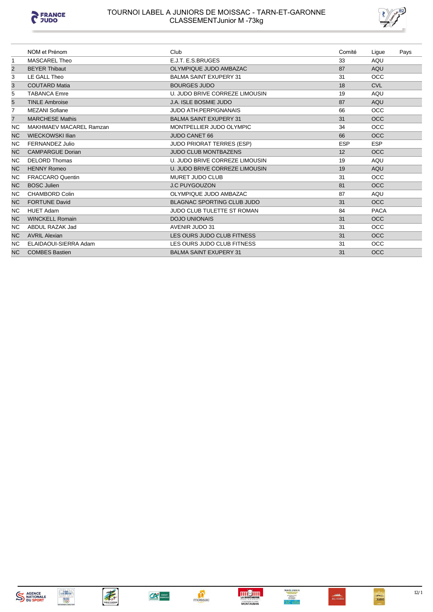



|                | NOM et Prénom           | Club                              | Comité     | Ligue       | Pays |
|----------------|-------------------------|-----------------------------------|------------|-------------|------|
| -1             | <b>MASCAREL Theo</b>    | E.J.T. E.S.BRUGES                 | 33         | AQU         |      |
| $\overline{2}$ | <b>BEYER Thibaut</b>    | OLYMPIQUE JUDO AMBAZAC            | 87         | AQU         |      |
| 3              | LE GALL Theo            | <b>BALMA SAINT EXUPERY 31</b>     | 31         | <b>OCC</b>  |      |
| 3              | <b>COUTARD Matia</b>    | <b>BOURGES JUDO</b>               | 18         | <b>CVL</b>  |      |
| 5              | <b>TABANCA Emre</b>     | U. JUDO BRIVE CORREZE LIMOUSIN    | 19         | AQU         |      |
| 5              | <b>TINLE Ambroise</b>   | <b>J.A. ISLE BOSMIE JUDO</b>      | 87         | AQU         |      |
| 7              | <b>MEZANI Sofiane</b>   | <b>JUDO ATH.PERPIGNANAIS</b>      | 66         | <b>OCC</b>  |      |
| $\overline{7}$ | <b>MARCHESE Mathis</b>  | <b>BALMA SAINT EXUPERY 31</b>     | 31         | <b>OCC</b>  |      |
| <b>NC</b>      | MAKHMAEV MACAREL Ramzan | MONTPELLIER JUDO OLYMPIC          | 34         | <b>OCC</b>  |      |
| <b>NC</b>      | <b>WIECKOWSKI Ilian</b> | <b>JUDO CANET 66</b>              | 66         | <b>OCC</b>  |      |
| NC.            | <b>FERNANDEZ Julio</b>  | <b>JUDO PRIORAT TERRES (ESP)</b>  | <b>ESP</b> | <b>ESP</b>  |      |
| <b>NC</b>      | <b>CAMPARGUE Dorian</b> | <b>JUDO CLUB MONTBAZENS</b>       | 12         | <b>OCC</b>  |      |
| NC.            | <b>DELORD Thomas</b>    | U. JUDO BRIVE CORREZE LIMOUSIN    | 19         | AQU         |      |
| <b>NC</b>      | <b>HENNY Romeo</b>      | U. JUDO BRIVE CORREZE LIMOUSIN    | 19         | AQU         |      |
| <b>NC</b>      | <b>FRACCARO Quentin</b> | <b>MURET JUDO CLUB</b>            | 31         | <b>OCC</b>  |      |
| <b>NC</b>      | <b>BOSC Julien</b>      | <b>J.C PUYGOUZON</b>              | 81         | <b>OCC</b>  |      |
| NC.            | <b>CHAMBORD Colin</b>   | OLYMPIQUE JUDO AMBAZAC            | 87         | AQU         |      |
| <b>NC</b>      | <b>FORTUNE David</b>    | <b>BLAGNAC SPORTING CLUB JUDO</b> | 31         | <b>OCC</b>  |      |
| <b>NC</b>      | <b>HUET Adam</b>        | <b>JUDO CLUB TULETTE ST ROMAN</b> | 84         | <b>PACA</b> |      |
| <b>NC</b>      | <b>WINCKELL Romain</b>  | <b>DOJO UNIONAIS</b>              | 31         | <b>OCC</b>  |      |
| <b>NC</b>      | ABDUL RAZAK Jad         | AVENIR JUDO 31                    | 31         | <b>OCC</b>  |      |
| <b>NC</b>      | <b>AVRIL Alexian</b>    | LES OURS JUDO CLUB FITNESS        | 31         | <b>OCC</b>  |      |
| <b>NC</b>      | ELAIDAOUI-SIERRA Adam   | LES OURS JUDO CLUB FITNESS        | 31         | <b>OCC</b>  |      |
| <b>NC</b>      | <b>COMBES Bastien</b>   | <b>BALMA SAINT EXUPERY 31</b>     | 31         | <b>OCC</b>  |      |









 $\sum_{\text{moissac}}$ 





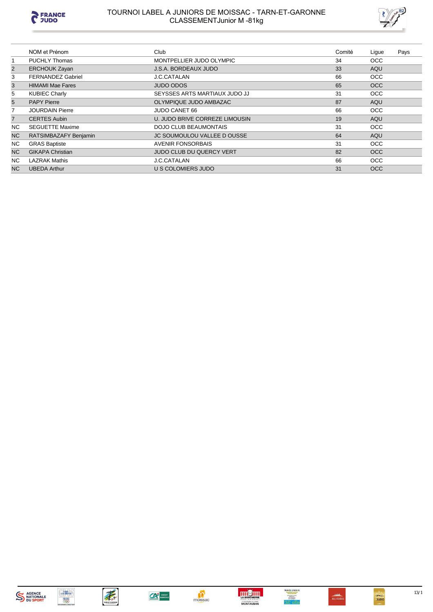

#### TOURNOI LABEL A JUNIORS DE MOISSAC - TARN-ET-GARONNE CLASSEMENTJunior M -81kg



|                | NOM et Prénom            | Club                               | Comité | Lique      | Pays |
|----------------|--------------------------|------------------------------------|--------|------------|------|
|                | <b>PUCHLY Thomas</b>     | MONTPELLIER JUDO OLYMPIC           | 34     | <b>OCC</b> |      |
| $\overline{2}$ | <b>ERCHOUK Zayan</b>     | <b>J.S.A. BORDEAUX JUDO</b>        | 33     | AQU        |      |
| 3              | <b>FERNANDEZ Gabriel</b> | J.C.CATALAN                        | 66     | <b>OCC</b> |      |
| 3              | <b>HIMAMI Mae Fares</b>  | <b>JUDO ODOS</b>                   | 65     | <b>OCC</b> |      |
| 5              | <b>KUBIEC Charly</b>     | SEYSSES ARTS MARTIAUX JUDO JJ      | 31     | <b>OCC</b> |      |
| 5              | <b>PAPY Pierre</b>       | OLYMPIQUE JUDO AMBAZAC             | 87     | AQU        |      |
| 7              | <b>JOURDAIN Pierre</b>   | JUDO CANET 66                      | 66     | <b>OCC</b> |      |
| $\overline{7}$ | <b>CERTES Aubin</b>      | U. JUDO BRIVE CORREZE LIMOUSIN     | 19     | AQU        |      |
| NC.            | <b>SEGUETTE Maxime</b>   | <b>DOJO CLUB BEAUMONTAIS</b>       | 31     | <b>OCC</b> |      |
| <b>NC</b>      | RATSIMBAZAFY Benjamin    | <b>JC SOUMOULOU VALLEE D OUSSE</b> | 64     | AQU        |      |
| <b>NC</b>      | <b>GRAS Baptiste</b>     | <b>AVENIR FONSORBAIS</b>           | 31     | <b>OCC</b> |      |
| N <sub>C</sub> | <b>GIKAPA Christian</b>  | <b>JUDO CLUB DU QUERCY VERT</b>    | 82     | <b>OCC</b> |      |
| NC.            | <b>LAZRAK Mathis</b>     | <b>J.C.CATALAN</b>                 | 66     | <b>OCC</b> |      |
| <b>NC</b>      | <b>UBEDA Arthur</b>      | U S COLOMIERS JUDO                 | 31     | <b>OCC</b> |      |

















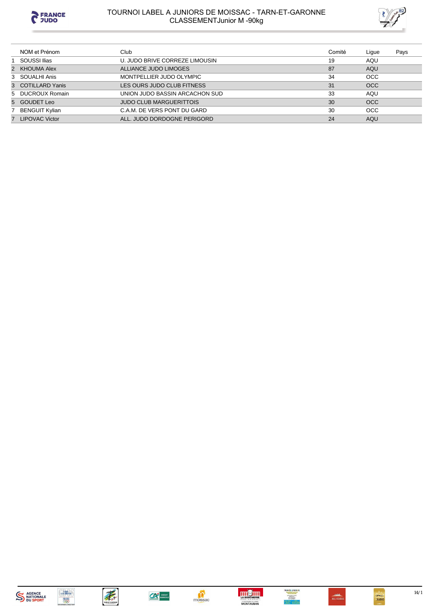

# TOURNOI LABEL A JUNIORS DE MOISSAC - TARN-ET-GARONNE<br>CLASSEMENTJunior M -90kg



| NOM et Prénom     | Club                           | Comité | Ligue      | Pays |
|-------------------|--------------------------------|--------|------------|------|
| SOUSSI Ilias      | U. JUDO BRIVE CORREZE LIMOUSIN | 19     | AQU        |      |
| 2 KHOUMA Alex     | ALLIANCE JUDO LIMOGES          | 87     | <b>AQU</b> |      |
| 3 SOUALHI Anis    | MONTPELLIER JUDO OLYMPIC       | 34     | <b>OCC</b> |      |
| 3 COTILLARD Yanis | LES OURS JUDO CLUB FITNESS     | 31     | <b>OCC</b> |      |
| 5 DUCROUX Romain  | UNION JUDO BASSIN ARCACHON SUD | 33     | AQU        |      |
| 5 GOUDET Leo      | <b>JUDO CLUB MARGUERITTOIS</b> | 30     | OCC        |      |
| 7 BENGUIT Kylian  | C.A.M. DE VERS PONT DU GARD    | 30     | <b>OCC</b> |      |
| 7 LIPOVAC Victor  | ALL, JUDO DORDOGNE PERIGORD    | 24     | AQU        |      |

















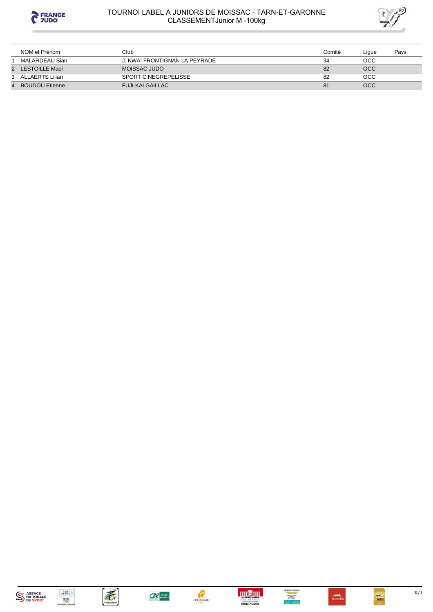

### TOURNOI LABEL A JUNIORS DE MOISSAC - TARN-ET-GARONNE **CLASSEMENTJunior M-100kg**



| NOM et Prénom         | Club                          | Comité | ∟igue | Pays |
|-----------------------|-------------------------------|--------|-------|------|
| MALARDEAU Sian        | J. KWAI FRONTIGNAN LA PEYRADE | 34     | осс   |      |
| 2 LESTOILLE Mael      | MOISSAC JUDO                  | 82     | OCC   |      |
| 3 ALLAERTS Lilian     | SPORT C.NEGREPELISSE          | 82     | осс   |      |
| <b>BOUDOU Etienne</b> | <b>FUJI-KAI GAILLAC</b>       | 81     | OCC   |      |